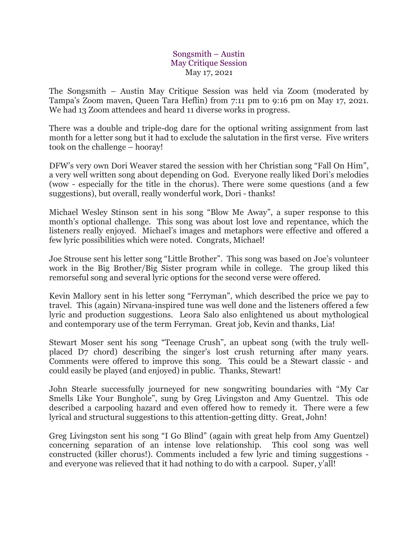## Songsmith – Austin May Critique Session May 17, 2021

The Songsmith – Austin May Critique Session was held via Zoom (moderated by Tampa's Zoom maven, Queen Tara Heflin) from 7:11 pm to 9:16 pm on May 17, 2021. We had 13 Zoom attendees and heard 11 diverse works in progress.

There was a double and triple-dog dare for the optional writing assignment from last month for a letter song but it had to exclude the salutation in the first verse. Five writers took on the challenge – hooray!

DFW's very own Dori Weaver stared the session with her Christian song "Fall On Him", a very well written song about depending on God. Everyone really liked Dori's melodies (wow - especially for the title in the chorus). There were some questions (and a few suggestions), but overall, really wonderful work, Dori - thanks!

Michael Wesley Stinson sent in his song "Blow Me Away", a super response to this month's optional challenge. This song was about lost love and repentance, which the listeners really enjoyed. Michael's images and metaphors were effective and offered a few lyric possibilities which were noted. Congrats, Michael!

Joe Strouse sent his letter song "Little Brother". This song was based on Joe's volunteer work in the Big Brother/Big Sister program while in college. The group liked this remorseful song and several lyric options for the second verse were offered.

Kevin Mallory sent in his letter song "Ferryman", which described the price we pay to travel. This (again) Nirvana-inspired tune was well done and the listeners offered a few lyric and production suggestions. Leora Salo also enlightened us about mythological and contemporary use of the term Ferryman. Great job, Kevin and thanks, Lia!

Stewart Moser sent his song "Teenage Crush", an upbeat song (with the truly wellplaced D7 chord) describing the singer's lost crush returning after many years. Comments were offered to improve this song. This could be a Stewart classic - and could easily be played (and enjoyed) in public. Thanks, Stewart!

John Stearle successfully journeyed for new songwriting boundaries with "My Car Smells Like Your Bunghole", sung by Greg Livingston and Amy Guentzel. This ode described a carpooling hazard and even offered how to remedy it. There were a few lyrical and structural suggestions to this attention-getting ditty. Great, John!

Greg Livingston sent his song "I Go Blind" (again with great help from Amy Guentzel) concerning separation of an intense love relationship. This cool song was well constructed (killer chorus!). Comments included a few lyric and timing suggestions and everyone was relieved that it had nothing to do with a carpool. Super, y'all!